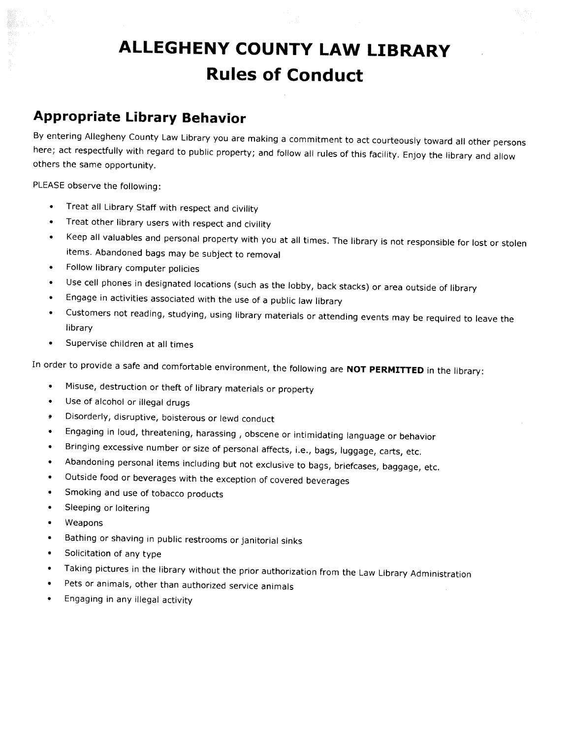## ALLEGHENY COUNTY LAW LIBRARY Rules of Conduct

## Appropriate Library Behavior

By entering Allegheny County Law Library you are making <sup>a</sup> commitment to act courteously toward all other persons here; act respectfully with regard to public property; and follow all rules of this facility. Enjoy the library and allow others the same opportunity.

PLEASE observe the following:

- •Treat all Library Staff with respect and civility
- •Treat other library users with respect and civility
- • Keep all valuables and personal property with you at all times. The library is not responsible for lost or stolen items. Abandoned bags may be subject to removal
- •Follow library computer policies
- •Use cell phones in designated locations (such as the lobby, back stacks) or area outside of library
- •Engage in activities associated with the use of <sup>a</sup> public law library
- • Customers not reading, studying, using library materials or attending events may be required to leave the library
- •Supervise children at all times

In order to provide a safe and comfortable environment, the following are NOT PERMITTED in the library:

- •Misuse, destruction or theft of library materials or property
- •Use of alcohol or illegal drugs
- Disorderly, disruptive, boisterous or lewd conduct
- •Engaging in loud, threatening, harassing , obscene or intimidating language or behavior
- •Bringing excessive number or size of personal affects, i.e., bags, luggage, carts, etc.
- •Abandoning personal items including but not exclusive to bags, briefcases, baggage, etc.
- •Outside food or beverages with the exception of covered beverages
- •Smoking and use of tobacco products
- •Sleeping or loitering
- •Weapons
- •Bathing or shaving in public restrooms or janitorial sinks
- •Solicitation of any type
- •Taking <sup>p</sup>ictures in the library without the prior authorization from the Law Library Administration
- •Pets or animals, other than authorized service animals
- •Engaging in any illegal activity